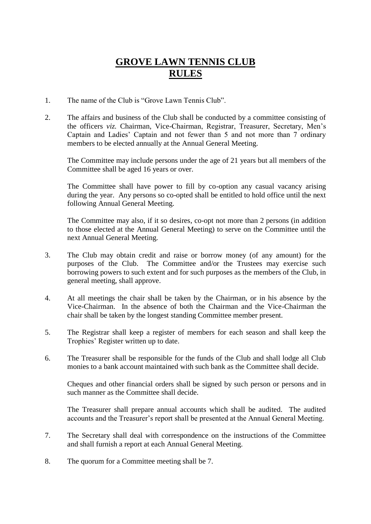## **GROVE LAWN TENNIS CLUB RULES**

- 1. The name of the Club is "Grove Lawn Tennis Club".
- 2. The affairs and business of the Club shall be conducted by a committee consisting of the officers *viz.* Chairman, Vice-Chairman, Registrar, Treasurer, Secretary, Men's Captain and Ladies' Captain and not fewer than 5 and not more than 7 ordinary members to be elected annually at the Annual General Meeting.

The Committee may include persons under the age of 21 years but all members of the Committee shall be aged 16 years or over.

The Committee shall have power to fill by co-option any casual vacancy arising during the year. Any persons so co-opted shall be entitled to hold office until the next following Annual General Meeting.

The Committee may also, if it so desires, co-opt not more than 2 persons (in addition to those elected at the Annual General Meeting) to serve on the Committee until the next Annual General Meeting.

- 3. The Club may obtain credit and raise or borrow money (of any amount) for the purposes of the Club. The Committee and/or the Trustees may exercise such borrowing powers to such extent and for such purposes as the members of the Club, in general meeting, shall approve.
- 4. At all meetings the chair shall be taken by the Chairman, or in his absence by the Vice-Chairman. In the absence of both the Chairman and the Vice-Chairman the chair shall be taken by the longest standing Committee member present.
- 5. The Registrar shall keep a register of members for each season and shall keep the Trophies' Register written up to date.
- 6. The Treasurer shall be responsible for the funds of the Club and shall lodge all Club monies to a bank account maintained with such bank as the Committee shall decide.

Cheques and other financial orders shall be signed by such person or persons and in such manner as the Committee shall decide.

The Treasurer shall prepare annual accounts which shall be audited. The audited accounts and the Treasurer's report shall be presented at the Annual General Meeting.

- 7. The Secretary shall deal with correspondence on the instructions of the Committee and shall furnish a report at each Annual General Meeting.
- 8. The quorum for a Committee meeting shall be 7.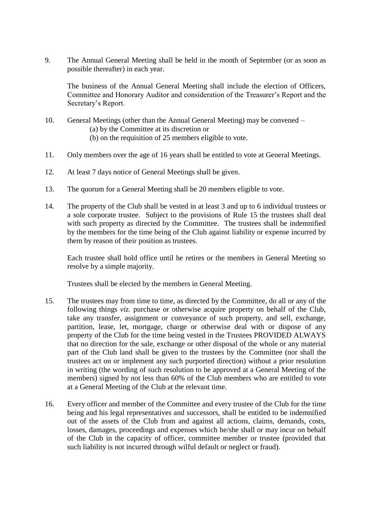9. The Annual General Meeting shall be held in the month of September (or as soon as possible thereafter) in each year.

The business of the Annual General Meeting shall include the election of Officers, Committee and Honorary Auditor and consideration of the Treasurer's Report and the Secretary's Report.

- 10. General Meetings (other than the Annual General Meeting) may be convened (a) by the Committee at its discretion or (b) on the requisition of 25 members eligible to vote.
- 11. Only members over the age of 16 years shall be entitled to vote at General Meetings.
- 12. At least 7 days notice of General Meetings shall be given.
- 13. The quorum for a General Meeting shall be 20 members eligible to vote.
- 14. The property of the Club shall be vested in at least 3 and up to 6 individual trustees or a sole corporate trustee.Subject to the provisions of Rule 15 the trustees shall deal with such property as directed by the Committee. The trustees shall be indemnified by the members for the time being of the Club against liability or expense incurred by them by reason of their position as trustees.

Each trustee shall hold office until he retires or the members in General Meeting so resolve by a simple majority.

Trustees shall be elected by the members in General Meeting.

- 15. The trustees may from time to time, as directed by the Committee, do all or any of the following things *viz.* purchase or otherwise acquire property on behalf of the Club, take any transfer, assignment or conveyance of such property, and sell, exchange, partition, lease, let, mortgage, charge or otherwise deal with or dispose of any property of the Club for the time being vested in the Trustees PROVIDED ALWAYS that no direction for the sale, exchange or other disposal of the whole or any material part of the Club land shall be given to the trustees by the Committee (nor shall the trustees act on or implement any such purported direction) without a prior resolution in writing (the wording of such resolution to be approved at a General Meeting of the members) signed by not less than 60% of the Club members who are entitled to vote at a General Meeting of the Club at the relevant time.
- 16. Every officer and member of the Committee and every trustee of the Club for the time being and his legal representatives and successors, shall be entitled to be indemnified out of the assets of the Club from and against all actions, claims, demands, costs, losses, damages, proceedings and expenses which he/she shall or may incur on behalf of the Club in the capacity of officer, committee member or trustee (provided that such liability is not incurred through wilful default or neglect or fraud).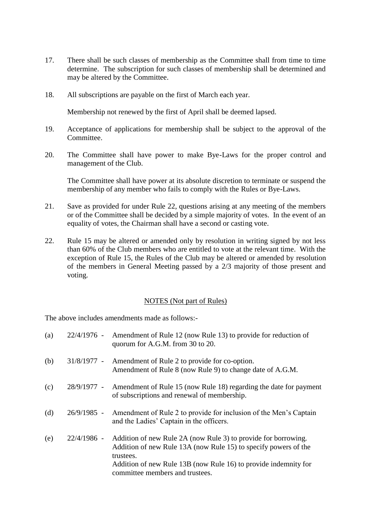- 17. There shall be such classes of membership as the Committee shall from time to time determine. The subscription for such classes of membership shall be determined and may be altered by the Committee.
- 18. All subscriptions are payable on the first of March each year.

Membership not renewed by the first of April shall be deemed lapsed.

- 19. Acceptance of applications for membership shall be subject to the approval of the Committee.
- 20. The Committee shall have power to make Bye-Laws for the proper control and management of the Club.

The Committee shall have power at its absolute discretion to terminate or suspend the membership of any member who fails to comply with the Rules or Bye-Laws.

- 21. Save as provided for under Rule 22, questions arising at any meeting of the members or of the Committee shall be decided by a simple majority of votes. In the event of an equality of votes, the Chairman shall have a second or casting vote.
- 22. Rule 15 may be altered or amended only by resolution in writing signed by not less than 60% of the Club members who are entitled to vote at the relevant time. With the exception of Rule 15, the Rules of the Club may be altered or amended by resolution of the members in General Meeting passed by a 2/3 majority of those present and voting.

## NOTES (Not part of Rules)

The above includes amendments made as follows:-

| (a) |             | 22/4/1976 - Amendment of Rule 12 (now Rule 13) to provide for reduction of<br>quorum for A.G.M. from 30 to 20.                                                                                                                                       |
|-----|-------------|------------------------------------------------------------------------------------------------------------------------------------------------------------------------------------------------------------------------------------------------------|
| (b) | 31/8/1977 - | Amendment of Rule 2 to provide for co-option.<br>Amendment of Rule 8 (now Rule 9) to change date of A.G.M.                                                                                                                                           |
| (c) | 28/9/1977 - | Amendment of Rule 15 (now Rule 18) regarding the date for payment<br>of subscriptions and renewal of membership.                                                                                                                                     |
| (d) |             | 26/9/1985 - Amendment of Rule 2 to provide for inclusion of the Men's Captain<br>and the Ladies' Captain in the officers.                                                                                                                            |
| (e) | 22/4/1986 - | Addition of new Rule 2A (now Rule 3) to provide for borrowing.<br>Addition of new Rule 13A (now Rule 15) to specify powers of the<br>trustees.<br>Addition of new Rule 13B (now Rule 16) to provide indemnity for<br>committee members and trustees. |